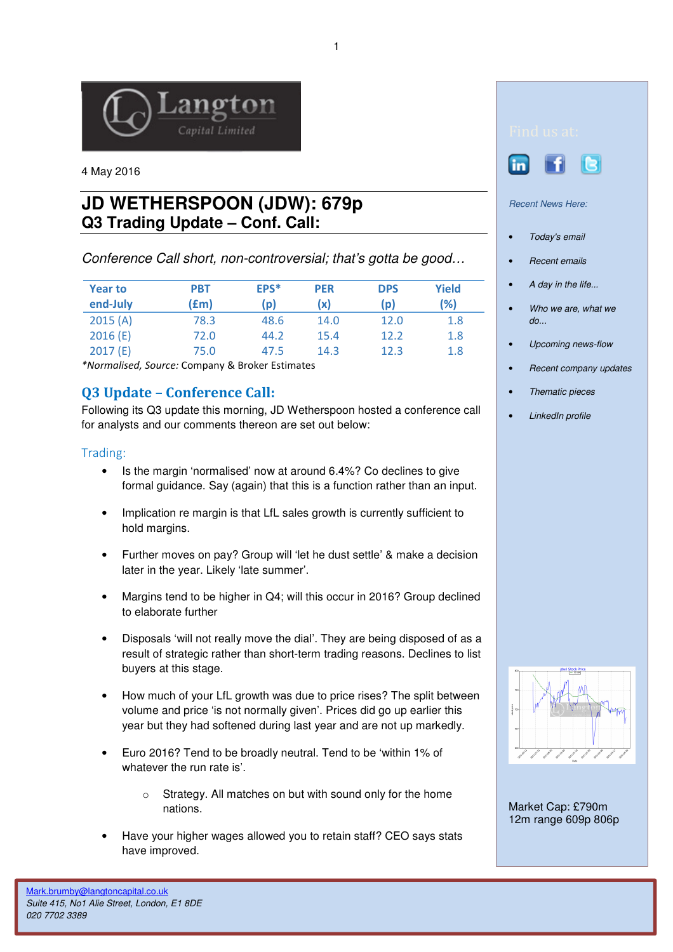

4 May 2016

# **JD WETHERSPOON (JDW): 679p Q3 Trading Update – Conf. Call:**

Conference Call short, non-controversial; that's gotta be good…

| <b>Year to</b><br>end-July | <b>PBT</b><br>(fm) | EPS*<br>(p) | <b>PER</b><br>(x) | <b>DPS</b><br>(p) | Yield<br>(%) |
|----------------------------|--------------------|-------------|-------------------|-------------------|--------------|
| 2015(A)                    | 78.3               | 48.6        | 14.0              | 12.0              | 1.8          |
| 2016(E)                    | 72.0               | 44.2        | 15.4              | 12.2              | 1.8          |
| 2017(E)                    | 75.0               | 47.5        | 14.3              | 12.3              | 1.8          |

\*Normalised, Source: Company & Broker Estimates

# Q3 Update – Conference Call:

Following its Q3 update this morning, JD Wetherspoon hosted a conference call for analysts and our comments thereon are set out below:

## Trading:

- Is the margin 'normalised' now at around 6.4%? Co declines to give formal guidance. Say (again) that this is a function rather than an input.
- Implication re margin is that LfL sales growth is currently sufficient to hold margins.
- Further moves on pay? Group will 'let he dust settle' & make a decision later in the year. Likely 'late summer'.
- Margins tend to be higher in Q4; will this occur in 2016? Group declined to elaborate further
- Disposals 'will not really move the dial'. They are being disposed of as a result of strategic rather than short-term trading reasons. Declines to list buyers at this stage.
- How much of your LfL growth was due to price rises? The split between volume and price 'is not normally given'. Prices did go up earlier this year but they had softened during last year and are not up markedly.
- Euro 2016? Tend to be broadly neutral. Tend to be 'within 1% of whatever the run rate is'.
	- o Strategy. All matches on but with sound only for the home nations.
- Have your higher wages allowed you to retain staff? CEO says stats have improved.





#### Recent News Here:

- Today's email
- Recent emails
- A day in the life...
- Who we are, what we do...
- Upcoming news-flow
- Recent company updates
- Thematic pieces
- LinkedIn profile



Market Cap: £790m 12m range 609p 806p